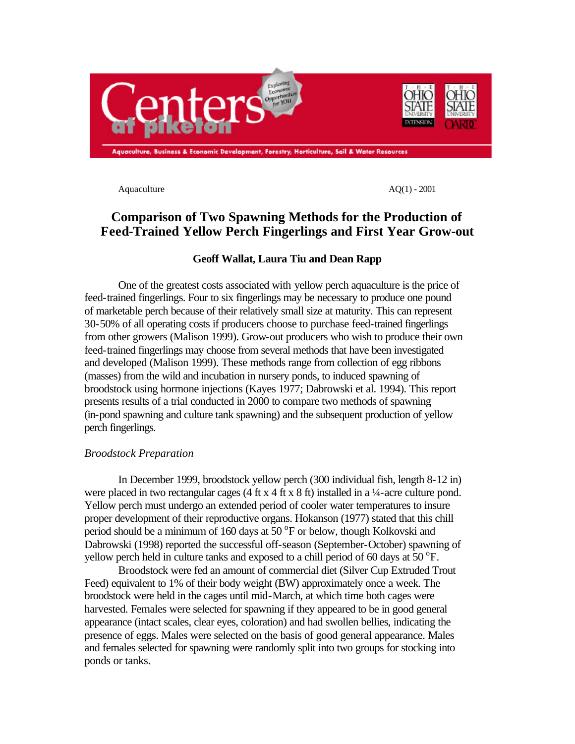

Aquaculture  $AQ(1) - 2001$ 

# **Comparison of Two Spawning Methods for the Production of Feed-Trained Yellow Perch Fingerlings and First Year Grow-out**

# **Geoff Wallat, Laura Tiu and Dean Rapp**

One of the greatest costs associated with yellow perch aquaculture is the price of feed-trained fingerlings. Four to six fingerlings may be necessary to produce one pound of marketable perch because of their relatively small size at maturity. This can represent 30-50% of all operating costs if producers choose to purchase feed-trained fingerlings from other growers (Malison 1999). Grow-out producers who wish to produce their own feed-trained fingerlings may choose from several methods that have been investigated and developed (Malison 1999). These methods range from collection of egg ribbons (masses) from the wild and incubation in nursery ponds, to induced spawning of broodstock using hormone injections (Kayes 1977; Dabrowski et al. 1994). This report presents results of a trial conducted in 2000 to compare two methods of spawning (in-pond spawning and culture tank spawning) and the subsequent production of yellow perch fingerlings.

# *Broodstock Preparation*

In December 1999, broodstock yellow perch (300 individual fish, length 8-12 in) were placed in two rectangular cages (4 ft x 4 ft x 8 ft) installed in a  $\frac{1}{4}$ -acre culture pond. Yellow perch must undergo an extended period of cooler water temperatures to insure proper development of their reproductive organs. Hokanson (1977) stated that this chill period should be a minimum of 160 days at  $50^{\circ}$ F or below, though Kolkovski and Dabrowski (1998) reported the successful off-season (September-October) spawning of yellow perch held in culture tanks and exposed to a chill period of 60 days at  $50^{\circ}$ F.

Broodstock were fed an amount of commercial diet (Silver Cup Extruded Trout Feed) equivalent to 1% of their body weight (BW) approximately once a week. The broodstock were held in the cages until mid-March, at which time both cages were harvested. Females were selected for spawning if they appeared to be in good general appearance (intact scales, clear eyes, coloration) and had swollen bellies, indicating the presence of eggs. Males were selected on the basis of good general appearance. Males and females selected for spawning were randomly split into two groups for stocking into ponds or tanks.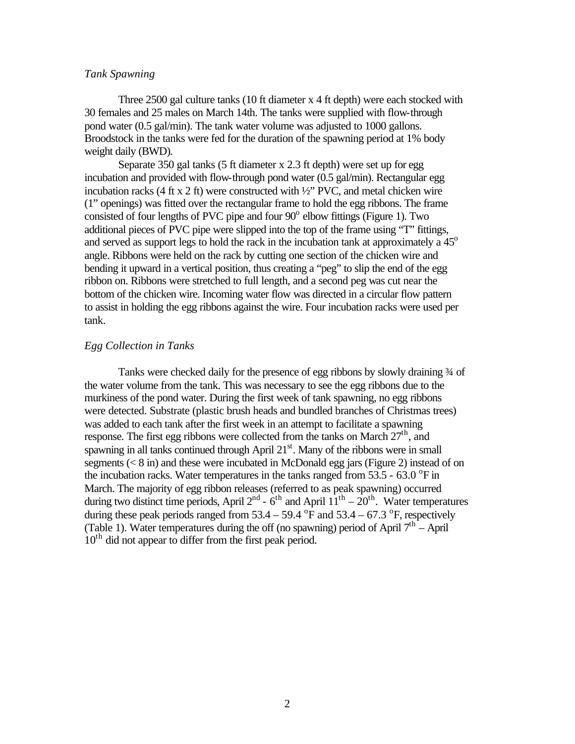## *Tank Spawning*

Three 2500 gal culture tanks (10 ft diameter x 4 ft depth) were each stocked with 30 females and 25 males on March 14th. The tanks were supplied with flow-through pond water (0.5 gal/min). The tank water volume was adjusted to 1000 gallons. Broodstock in the tanks were fed for the duration of the spawning period at 1% body weight daily (BWD).

Separate 350 gal tanks (5 ft diameter x 2.3 ft depth) were set up for egg incubation and provided with flow-through pond water (0.5 gal/min). Rectangular egg incubation racks (4 ft x 2 ft) were constructed with  $\frac{1}{2}$  PVC, and metal chicken wire (1" openings) was fitted over the rectangular frame to hold the egg ribbons. The frame consisted of four lengths of PVC pipe and four  $90^\circ$  elbow fittings (Figure 1). Two additional pieces of PVC pipe were slipped into the top of the frame using "T" fittings, and served as support legs to hold the rack in the incubation tank at approximately a  $45^{\circ}$ angle. Ribbons were held on the rack by cutting one section of the chicken wire and bending it upward in a vertical position, thus creating a "peg" to slip the end of the egg ribbon on. Ribbons were stretched to full length, and a second peg was cut near the bottom of the chicken wire. Incoming water flow was directed in a circular flow pattern to assist in holding the egg ribbons against the wire. Four incubation racks were used per tank.

# *Egg Collection in Tanks*

Tanks were checked daily for the presence of egg ribbons by slowly draining  $\frac{3}{4}$  of the water volume from the tank. This was necessary to see the egg ribbons due to the murkiness of the pond water. During the first week of tank spawning, no egg ribbons were detected. Substrate (plastic brush heads and bundled branches of Christmas trees) was added to each tank after the first week in an attempt to facilitate a spawning response. The first egg ribbons were collected from the tanks on March  $27<sup>th</sup>$ , and spawning in all tanks continued through April  $21<sup>st</sup>$ . Many of the ribbons were in small segments ( $\lt 8$  in) and these were incubated in McDonald egg jars (Figure 2) instead of on the incubation racks. Water temperatures in the tanks ranged from  $53.5$  -  $63.0$  °F in March. The majority of egg ribbon releases (referred to as peak spawning) occurred during two distinct time periods, April  $2^{nd}$  -  $6^{th}$  and April  $11^{th}$  –  $20^{th}$ . Water temperatures during these peak periods ranged from  $53.4 - 59.4$  °F and  $53.4 - 67.3$  °F, respectively (Table 1). Water temperatures during the off (no spawning) period of April  $7<sup>th</sup>$  - April 10<sup>th</sup> did not appear to differ from the first peak period.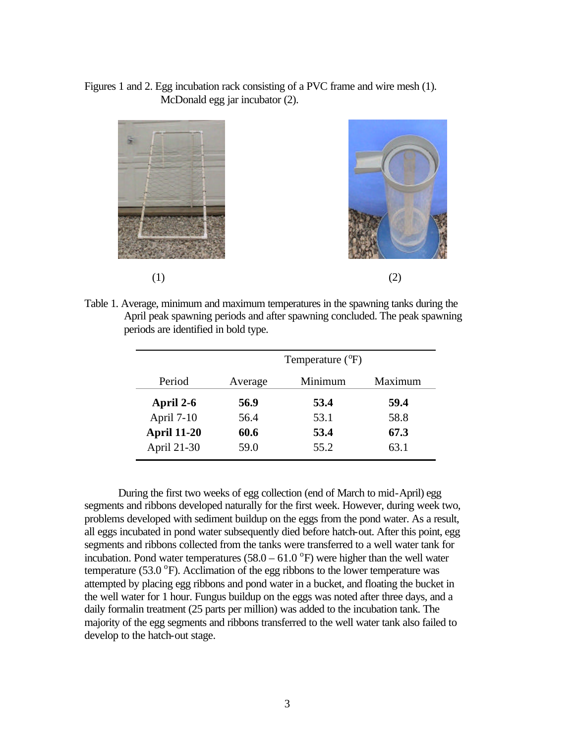# Figures 1 and 2. Egg incubation rack consisting of a PVC frame and wire mesh (1). McDonald egg jar incubator (2).



Table 1. Average, minimum and maximum temperatures in the spawning tanks during the April peak spawning periods and after spawning concluded. The peak spawning periods are identified in bold type.

|                    | Temperature $(^{o}F)$ |         |         |
|--------------------|-----------------------|---------|---------|
| Period             | Average               | Minimum | Maximum |
| April 2-6          | 56.9                  | 53.4    | 59.4    |
| April 7-10         | 56.4                  | 53.1    | 58.8    |
| <b>April 11-20</b> | 60.6                  | 53.4    | 67.3    |
| April 21-30        | 59.0                  | 55.2    | 63.1    |

During the first two weeks of egg collection (end of March to mid-April) egg segments and ribbons developed naturally for the first week. However, during week two, problems developed with sediment buildup on the eggs from the pond water. As a result, all eggs incubated in pond water subsequently died before hatch-out. After this point, egg segments and ribbons collected from the tanks were transferred to a well water tank for incubation. Pond water temperatures  $(58.0 - 61.0^{\circ}F)$  were higher than the well water temperature (53.0  $\textdegree$ F). Acclimation of the egg ribbons to the lower temperature was attempted by placing egg ribbons and pond water in a bucket, and floating the bucket in the well water for 1 hour. Fungus buildup on the eggs was noted after three days, and a daily formalin treatment (25 parts per million) was added to the incubation tank. The majority of the egg segments and ribbons transferred to the well water tank also failed to develop to the hatch-out stage.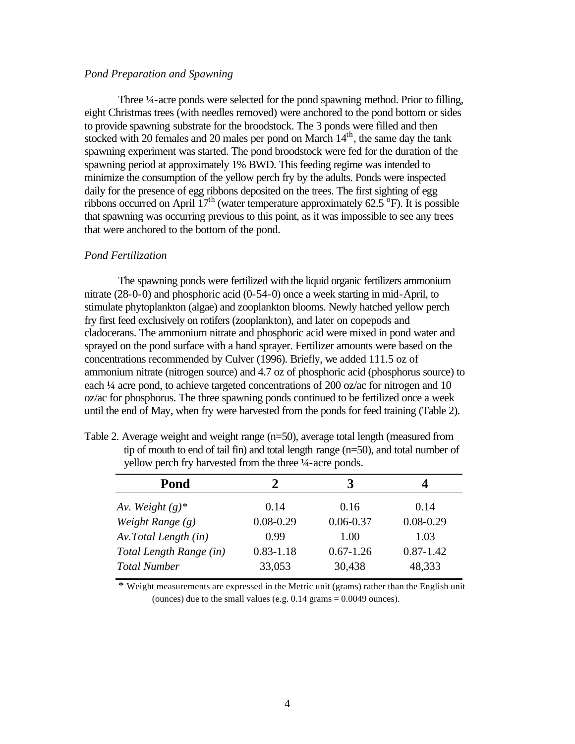# *Pond Preparation and Spawning*

Three ¼-acre ponds were selected for the pond spawning method. Prior to filling, eight Christmas trees (with needles removed) were anchored to the pond bottom or sides to provide spawning substrate for the broodstock. The 3 ponds were filled and then stocked with 20 females and 20 males per pond on March  $14<sup>th</sup>$ , the same day the tank spawning experiment was started. The pond broodstock were fed for the duration of the spawning period at approximately 1% BWD. This feeding regime was intended to minimize the consumption of the yellow perch fry by the adults. Ponds were inspected daily for the presence of egg ribbons deposited on the trees. The first sighting of egg ribbons occurred on April  $17<sup>th</sup>$  (water temperature approximately 62.5<sup>°</sup>F). It is possible that spawning was occurring previous to this point, as it was impossible to see any trees that were anchored to the bottom of the pond.

#### *Pond Fertilization*

The spawning ponds were fertilized with the liquid organic fertilizers ammonium nitrate (28-0-0) and phosphoric acid (0-54-0) once a week starting in mid-April, to stimulate phytoplankton (algae) and zooplankton blooms. Newly hatched yellow perch fry first feed exclusively on rotifers (zooplankton), and later on copepods and cladocerans. The ammonium nitrate and phosphoric acid were mixed in pond water and sprayed on the pond surface with a hand sprayer. Fertilizer amounts were based on the concentrations recommended by Culver (1996). Briefly, we added 111.5 oz of ammonium nitrate (nitrogen source) and 4.7 oz of phosphoric acid (phosphorus source) to each ¼ acre pond, to achieve targeted concentrations of 200 oz/ac for nitrogen and 10 oz/ac for phosphorus. The three spawning ponds continued to be fertilized once a week until the end of May, when fry were harvested from the ponds for feed training (Table 2).

| Pond                    |               |               |               |
|-------------------------|---------------|---------------|---------------|
| Av. Weight $(g)^*$      | 0.14          | 0.16          | 0.14          |
| Weight Range $(g)$      | $0.08 - 0.29$ | $0.06 - 0.37$ | $0.08 - 0.29$ |
| Av. Total Length (in)   | 0.99          | 1.00          | 1.03          |
| Total Length Range (in) | $0.83 - 1.18$ | $0.67 - 1.26$ | $0.87 - 1.42$ |
| <b>Total Number</b>     | 33,053        | 30,438        | 48,333        |
|                         |               |               |               |

| Table 2. Average weight and weight range $(n=50)$ , average total length (measured from |  |
|-----------------------------------------------------------------------------------------|--|
| tip of mouth to end of tail fin) and total length range $(n=50)$ , and total number of  |  |
| yellow perch fry harvested from the three 1/4-acre ponds.                               |  |

\* Weight measurements are expressed in the Metric unit (grams) rather than the English unit (ounces) due to the small values (e.g.  $0.14$  grams = 0.0049 ounces).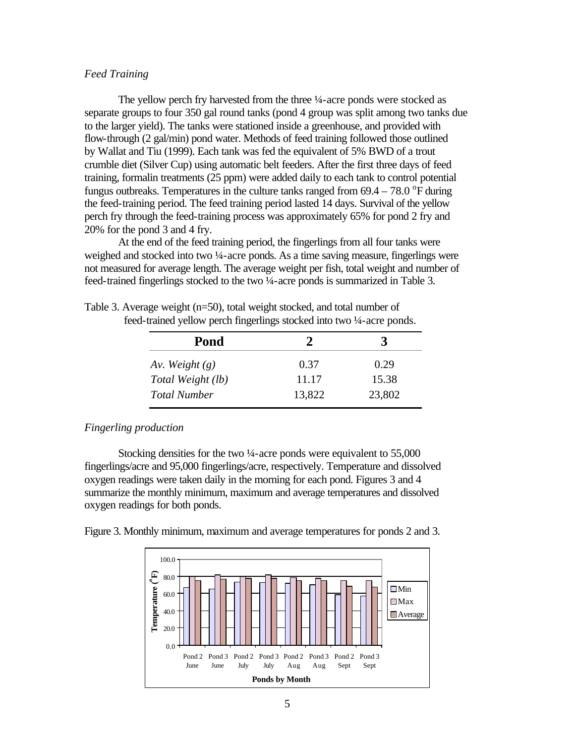# *Feed Training*

The yellow perch fry harvested from the three  $\frac{1}{4}$ -acre ponds were stocked as separate groups to four 350 gal round tanks (pond 4 group was split among two tanks due to the larger yield). The tanks were stationed inside a greenhouse, and provided with flow-through (2 gal/min) pond water. Methods of feed training followed those outlined by Wallat and Tiu (1999). Each tank was fed the equivalent of 5% BWD of a trout crumble diet (Silver Cup) using automatic belt feeders. After the first three days of feed training, formalin treatments (25 ppm) were added daily to each tank to control potential fungus outbreaks. Temperatures in the culture tanks ranged from  $69.4 - 78.0$  °F during the feed-training period. The feed training period lasted 14 days. Survival of the yellow perch fry through the feed-training process was approximately 65% for pond 2 fry and 20% for the pond 3 and 4 fry.

At the end of the feed training period, the fingerlings from all four tanks were weighed and stocked into two  $\frac{1}{4}$ -acre ponds. As a time saving measure, fingerlings were not measured for average length. The average weight per fish, total weight and number of feed-trained fingerlings stocked to the two ¼-acre ponds is summarized in Table 3.

| Pond                |        |        |
|---------------------|--------|--------|
| Av. Weight $(g)$    | 0.37   | 0.29   |
| Total Weight (lb)   | 11.17  | 15.38  |
| <b>Total Number</b> | 13,822 | 23,802 |

Table 3. Average weight (n=50), total weight stocked, and total number of feed-trained yellow perch fingerlings stocked into two ¼-acre ponds.

#### *Fingerling production*

Stocking densities for the two ¼-acre ponds were equivalent to 55,000 fingerlings/acre and 95,000 fingerlings/acre, respectively. Temperature and dissolved oxygen readings were taken daily in the morning for each pond. Figures 3 and 4 summarize the monthly minimum, maximum and average temperatures and dissolved oxygen readings for both ponds.

Figure 3. Monthly minimum, maximum and average temperatures for ponds 2 and 3.

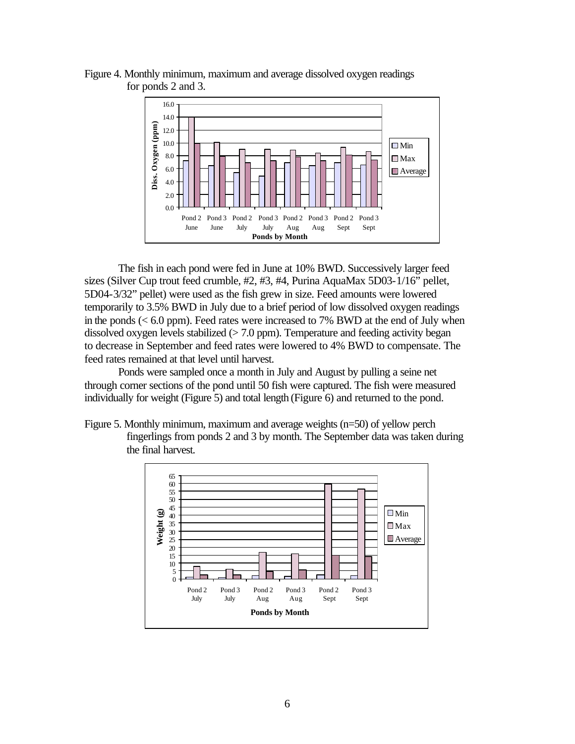

Figure 4. Monthly minimum, maximum and average dissolved oxygen readings for ponds 2 and 3.

The fish in each pond were fed in June at 10% BWD. Successively larger feed sizes (Silver Cup trout feed crumble, #2, #3, #4, Purina AquaMax 5D03-1/16" pellet, 5D04-3/32" pellet) were used as the fish grew in size. Feed amounts were lowered temporarily to 3.5% BWD in July due to a brief period of low dissolved oxygen readings in the ponds  $( $6.0$  ppm). Feed rates were increased to 7% BWD at the end of July when$ dissolved oxygen levels stabilized  $(> 7.0 \text{ ppm})$ . Temperature and feeding activity began to decrease in September and feed rates were lowered to 4% BWD to compensate. The feed rates remained at that level until harvest.

Ponds were sampled once a month in July and August by pulling a seine net through corner sections of the pond until 50 fish were captured. The fish were measured individually for weight (Figure 5) and total length (Figure 6) and returned to the pond.

Figure 5. Monthly minimum, maximum and average weights (n=50) of yellow perch fingerlings from ponds 2 and 3 by month. The September data was taken during the final harvest.

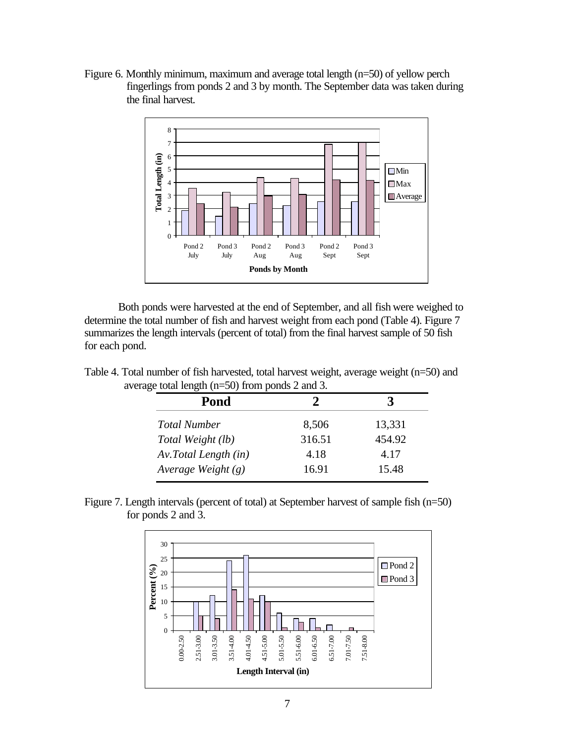Figure 6. Monthly minimum, maximum and average total length (n=50) of yellow perch fingerlings from ponds 2 and 3 by month. The September data was taken during the final harvest.



Both ponds were harvested at the end of September, and all fish were weighed to determine the total number of fish and harvest weight from each pond (Table 4). Figure 7 summarizes the length intervals (percent of total) from the final harvest sample of 50 fish for each pond.

Table 4. Total number of fish harvested, total harvest weight, average weight (n=50) and average total length (n=50) from ponds 2 and 3.

| Pond                 |        |        |
|----------------------|--------|--------|
| <b>Total Number</b>  | 8,506  | 13,331 |
| Total Weight (lb)    | 316.51 | 454.92 |
| Av.Total Length (in) | 4.18   | 4.17   |
| Average Weight $(g)$ | 16.91  | 15.48  |

Figure 7. Length intervals (percent of total) at September harvest of sample fish (n=50) for ponds 2 and 3.

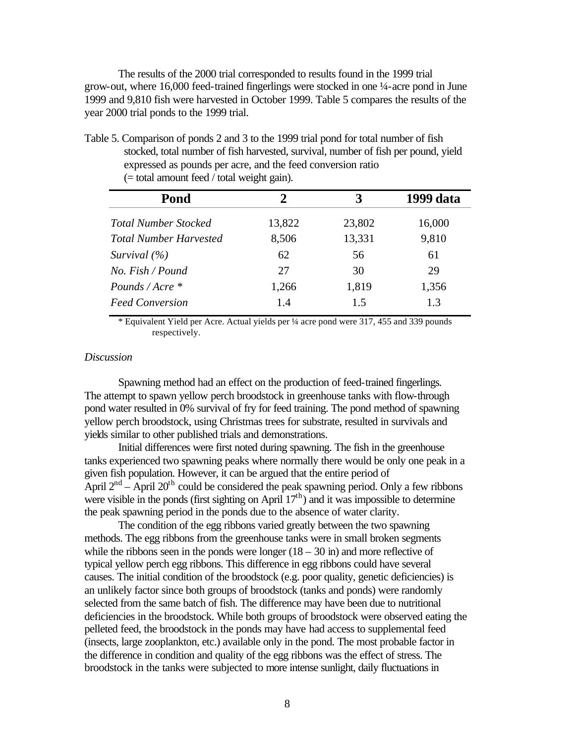The results of the 2000 trial corresponded to results found in the 1999 trial grow-out, where 16,000 feed-trained fingerlings were stocked in one ¼-acre pond in June 1999 and 9,810 fish were harvested in October 1999. Table 5 compares the results of the year 2000 trial ponds to the 1999 trial.

Table 5. Comparison of ponds 2 and 3 to the 1999 trial pond for total number of fish stocked, total number of fish harvested, survival, number of fish per pound, yield expressed as pounds per acre, and the feed conversion ratio (= total amount feed / total weight gain).

| Pond                          | $\mathcal{P}$ | 3      | 1999 data |
|-------------------------------|---------------|--------|-----------|
| <b>Total Number Stocked</b>   | 13,822        | 23,802 | 16,000    |
| <b>Total Number Harvested</b> | 8,506         | 13,331 | 9,810     |
| Survival $(\% )$              | 62            | 56     | 61        |
| No. Fish/Found                | 27            | 30     | 29        |
| Pounds / Acre *               | 1,266         | 1,819  | 1,356     |
| <b>Feed Conversion</b>        | 1.4           | 1.5    | 1.3       |

\* Equivalent Yield per Acre. Actual yields per ¼ acre pond were 317, 455 and 339 pounds respectively.

# *Discussion*

Spawning method had an effect on the production of feed-trained fingerlings. The attempt to spawn yellow perch broodstock in greenhouse tanks with flow-through pond water resulted in 0% survival of fry for feed training. The pond method of spawning yellow perch broodstock, using Christmas trees for substrate, resulted in survivals and yields similar to other published trials and demonstrations.

Initial differences were first noted during spawning. The fish in the greenhouse tanks experienced two spawning peaks where normally there would be only one peak in a given fish population. However, it can be argued that the entire period of April  $2<sup>nd</sup>$  – April  $20<sup>th</sup>$  could be considered the peak spawning period. Only a few ribbons were visible in the ponds (first sighting on April  $17<sup>th</sup>$ ) and it was impossible to determine the peak spawning period in the ponds due to the absence of water clarity.

The condition of the egg ribbons varied greatly between the two spawning methods. The egg ribbons from the greenhouse tanks were in small broken segments while the ribbons seen in the ponds were longer  $(18 - 30)$  in and more reflective of typical yellow perch egg ribbons. This difference in egg ribbons could have several causes. The initial condition of the broodstock (e.g. poor quality, genetic deficiencies) is an unlikely factor since both groups of broodstock (tanks and ponds) were randomly selected from the same batch of fish. The difference may have been due to nutritional deficiencies in the broodstock. While both groups of broodstock were observed eating the pelleted feed, the broodstock in the ponds may have had access to supplemental feed (insects, large zooplankton, etc.) available only in the pond. The most probable factor in the difference in condition and quality of the egg ribbons was the effect of stress. The broodstock in the tanks were subjected to more intense sunlight, daily fluctuations in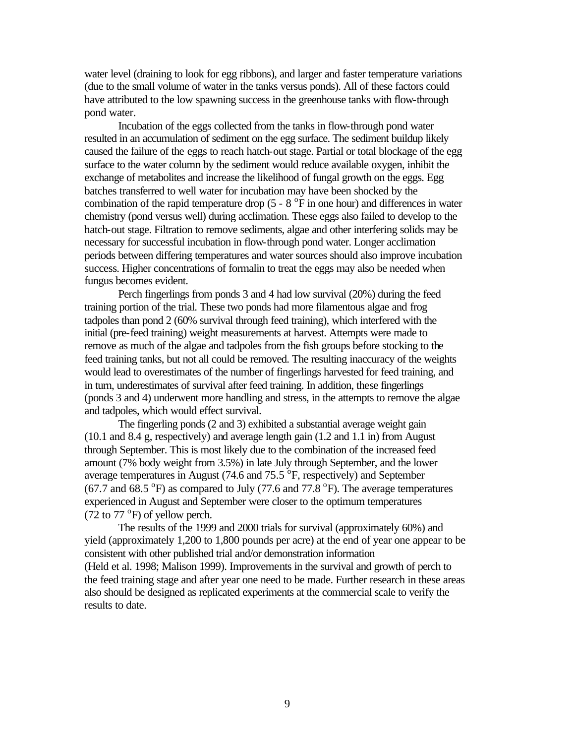water level (draining to look for egg ribbons), and larger and faster temperature variations (due to the small volume of water in the tanks versus ponds). All of these factors could have attributed to the low spawning success in the greenhouse tanks with flow-through pond water.

Incubation of the eggs collected from the tanks in flow-through pond water resulted in an accumulation of sediment on the egg surface. The sediment buildup likely caused the failure of the eggs to reach hatch-out stage. Partial or total blockage of the egg surface to the water column by the sediment would reduce available oxygen, inhibit the exchange of metabolites and increase the likelihood of fungal growth on the eggs. Egg batches transferred to well water for incubation may have been shocked by the combination of the rapid temperature drop  $(5 - 8)^\circ$ F in one hour) and differences in water chemistry (pond versus well) during acclimation. These eggs also failed to develop to the hatch-out stage. Filtration to remove sediments, algae and other interfering solids may be necessary for successful incubation in flow-through pond water. Longer acclimation periods between differing temperatures and water sources should also improve incubation success. Higher concentrations of formalin to treat the eggs may also be needed when fungus becomes evident.

Perch fingerlings from ponds 3 and 4 had low survival (20%) during the feed training portion of the trial. These two ponds had more filamentous algae and frog tadpoles than pond 2 (60% survival through feed training), which interfered with the initial (pre-feed training) weight measurements at harvest. Attempts were made to remove as much of the algae and tadpoles from the fish groups before stocking to the feed training tanks, but not all could be removed. The resulting inaccuracy of the weights would lead to overestimates of the number of fingerlings harvested for feed training, and in turn, underestimates of survival after feed training. In addition, these fingerlings (ponds 3 and 4) underwent more handling and stress, in the attempts to remove the algae and tadpoles, which would effect survival.

The fingerling ponds (2 and 3) exhibited a substantial average weight gain (10.1 and 8.4 g, respectively) and average length gain (1.2 and 1.1 in) from August through September. This is most likely due to the combination of the increased feed amount (7% body weight from 3.5%) in late July through September, and the lower average temperatures in August (74.6 and 75.5 $\,^{\circ}\text{F}$ , respectively) and September  $(67.7 \text{ and } 68.5 \text{ °F})$  as compared to July (77.6 and 77.8  $\text{°F}$ ). The average temperatures experienced in August and September were closer to the optimum temperatures  $(72 \text{ to } 77 \text{ °F})$  of yellow perch.

The results of the 1999 and 2000 trials for survival (approximately 60%) and yield (approximately 1,200 to 1,800 pounds per acre) at the end of year one appear to be consistent with other published trial and/or demonstration information (Held et al. 1998; Malison 1999). Improvements in the survival and growth of perch to the feed training stage and after year one need to be made. Further research in these areas also should be designed as replicated experiments at the commercial scale to verify the results to date.